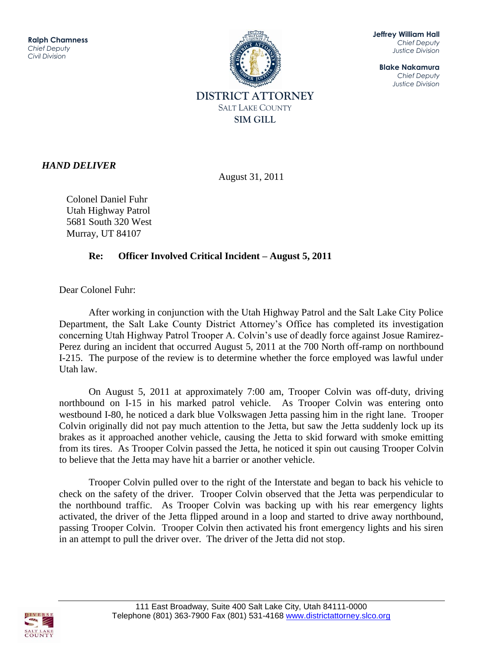

**Jeffrey William Hall** *Chief Deputy Justice Division*

**Blake Nakamura** *Chief Deputy Justice Division*

## *HAND DELIVER*

August 31, 2011

Colonel Daniel Fuhr Utah Highway Patrol 5681 South 320 West Murray, UT 84107

## **Re: Officer Involved Critical Incident – August 5, 2011**

Dear Colonel Fuhr:

After working in conjunction with the Utah Highway Patrol and the Salt Lake City Police Department, the Salt Lake County District Attorney's Office has completed its investigation concerning Utah Highway Patrol Trooper A. Colvin's use of deadly force against Josue Ramirez-Perez during an incident that occurred August 5, 2011 at the 700 North off-ramp on northbound I-215. The purpose of the review is to determine whether the force employed was lawful under Utah law.

 On August 5, 2011 at approximately 7:00 am, Trooper Colvin was off-duty, driving northbound on I-15 in his marked patrol vehicle. As Trooper Colvin was entering onto westbound I-80, he noticed a dark blue Volkswagen Jetta passing him in the right lane. Trooper Colvin originally did not pay much attention to the Jetta, but saw the Jetta suddenly lock up its brakes as it approached another vehicle, causing the Jetta to skid forward with smoke emitting from its tires. As Trooper Colvin passed the Jetta, he noticed it spin out causing Trooper Colvin to believe that the Jetta may have hit a barrier or another vehicle.

Trooper Colvin pulled over to the right of the Interstate and began to back his vehicle to check on the safety of the driver. Trooper Colvin observed that the Jetta was perpendicular to the northbound traffic. As Trooper Colvin was backing up with his rear emergency lights activated, the driver of the Jetta flipped around in a loop and started to drive away northbound, passing Trooper Colvin. Trooper Colvin then activated his front emergency lights and his siren in an attempt to pull the driver over. The driver of the Jetta did not stop.

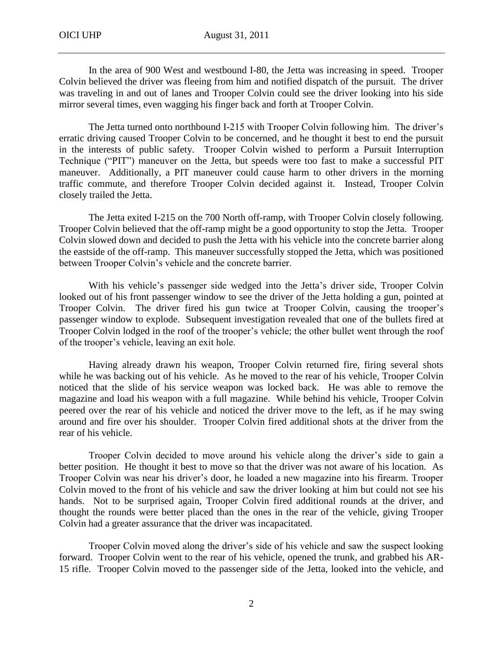In the area of 900 West and westbound I-80, the Jetta was increasing in speed. Trooper Colvin believed the driver was fleeing from him and notified dispatch of the pursuit. The driver was traveling in and out of lanes and Trooper Colvin could see the driver looking into his side mirror several times, even wagging his finger back and forth at Trooper Colvin.

The Jetta turned onto northbound I-215 with Trooper Colvin following him. The driver's erratic driving caused Trooper Colvin to be concerned, and he thought it best to end the pursuit in the interests of public safety. Trooper Colvin wished to perform a Pursuit Interruption Technique ("PIT") maneuver on the Jetta, but speeds were too fast to make a successful PIT maneuver. Additionally, a PIT maneuver could cause harm to other drivers in the morning traffic commute, and therefore Trooper Colvin decided against it. Instead, Trooper Colvin closely trailed the Jetta.

The Jetta exited I-215 on the 700 North off-ramp, with Trooper Colvin closely following. Trooper Colvin believed that the off-ramp might be a good opportunity to stop the Jetta. Trooper Colvin slowed down and decided to push the Jetta with his vehicle into the concrete barrier along the eastside of the off-ramp. This maneuver successfully stopped the Jetta, which was positioned between Trooper Colvin's vehicle and the concrete barrier.

With his vehicle's passenger side wedged into the Jetta's driver side, Trooper Colvin looked out of his front passenger window to see the driver of the Jetta holding a gun, pointed at Trooper Colvin. The driver fired his gun twice at Trooper Colvin, causing the trooper's passenger window to explode. Subsequent investigation revealed that one of the bullets fired at Trooper Colvin lodged in the roof of the trooper's vehicle; the other bullet went through the roof of the trooper's vehicle, leaving an exit hole.

Having already drawn his weapon, Trooper Colvin returned fire, firing several shots while he was backing out of his vehicle. As he moved to the rear of his vehicle, Trooper Colvin noticed that the slide of his service weapon was locked back. He was able to remove the magazine and load his weapon with a full magazine. While behind his vehicle, Trooper Colvin peered over the rear of his vehicle and noticed the driver move to the left, as if he may swing around and fire over his shoulder. Trooper Colvin fired additional shots at the driver from the rear of his vehicle.

Trooper Colvin decided to move around his vehicle along the driver's side to gain a better position. He thought it best to move so that the driver was not aware of his location. As Trooper Colvin was near his driver's door, he loaded a new magazine into his firearm. Trooper Colvin moved to the front of his vehicle and saw the driver looking at him but could not see his hands. Not to be surprised again, Trooper Colvin fired additional rounds at the driver, and thought the rounds were better placed than the ones in the rear of the vehicle, giving Trooper Colvin had a greater assurance that the driver was incapacitated.

Trooper Colvin moved along the driver's side of his vehicle and saw the suspect looking forward. Trooper Colvin went to the rear of his vehicle, opened the trunk, and grabbed his AR-15 rifle. Trooper Colvin moved to the passenger side of the Jetta, looked into the vehicle, and